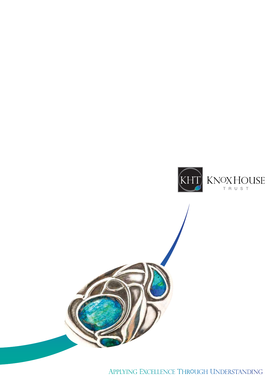

APPLYING EXCELLENCE THROUGH UNDERSTANDING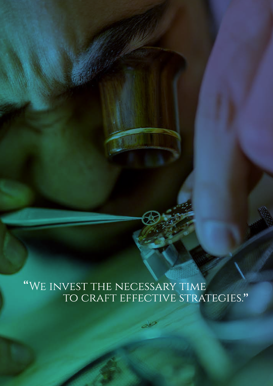# "WE INVEST THE NECESSARY TIME<br>TO CRAFT EFFECTIVE STRATEGIES."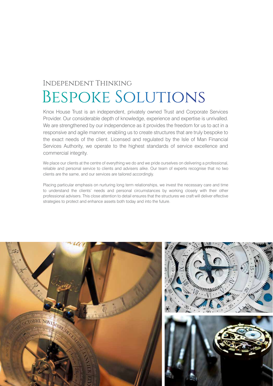### **INDEPENDENT THINKING** BESPOKE SOLUTIONS

Knox House Trust is an independent, privately owned Trust and Corporate Services Provider. Our considerable depth of knowledge, experience and expertise is unrivalled. We are strengthened by our independence as it provides the freedom for us to act in a responsive and agile manner, enabling us to create structures that are truly bespoke to the exact needs of the client. Licensed and regulated by the Isle of Man Financial Services Authority, we operate to the highest standards of service excellence and commercial integrity.

We place our clients at the centre of everything we do and we pride ourselves on delivering a professional, reliable and personal service to clients and advisers alike. Our team of experts recognise that no two clients are the same, and our services are tailored accordingly.

Placing particular emphasis on nurturing long term relationships, we invest the necessary care and time to understand the clients' needs and personal circumstances by working closely with their other professional advisers. This close attention to detail ensures that the structures we craft will deliver effective strategies to protect and enhance assets both today and into the future.

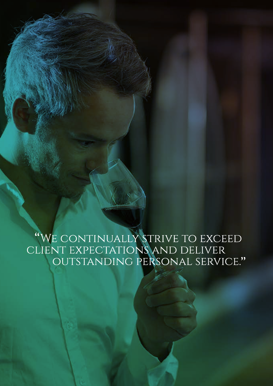"WE CONTINUALLY STRIVE TO EXCEED<br>CLIENT EXPECTATIONS AND DELIVER<br>OUTSTANDING PERSONAL SERVICE."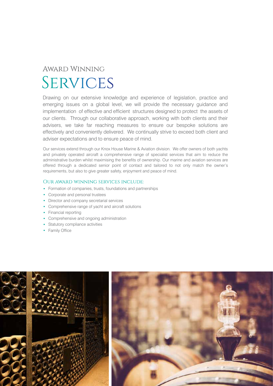# **AWARD WINNING SERVICES**

Drawing on our extensive knowledge and experience of legislation, practice and emerging issues on a global level, we will provide the necessary guidance and implementation of effective and efficient structures designed to protect the assets of our clients. Through our collaborative approach, working with both clients and their advisers, we take far reaching measures to ensure our bespoke solutions are effectively and conveniently delivered. We continually strive to exceed both client and adviser expectations and to ensure peace of mind.

Our services extend through our Knox House Marine & Aviation division. We offer owners of both yachts and privately operated aircraft a comprehensive range of specialist services that aim to reduce the administrative burden whilst maximising the benefits of ownership. Our marine and aviation services are offered through a dedicated senior point of contact and tailored to not only match the owner's requirements, but also to give greater safety, enjoyment and peace of mind.

#### OUR AWARD WINNING SERVICES INCLUDE:

- Formation of companies, trusts, foundations and partnerships
- Corporate and personal trustees
- Director and company secretarial services
- Comprehensive range of yacht and aircraft solutions
- Financial reporting
- Comprehensive and ongoing administration
- Statutory compliance activities
- Family Office

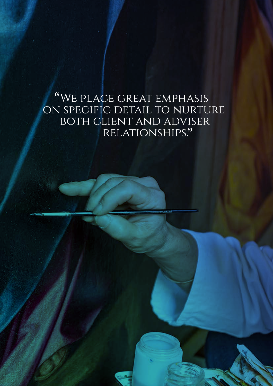### "WE PLACE GREAT EMPHASIS ON SPECIFIC DETAIL TO NURTURE BOTH CLIENT AND ADVISER RELATIONSHIPS."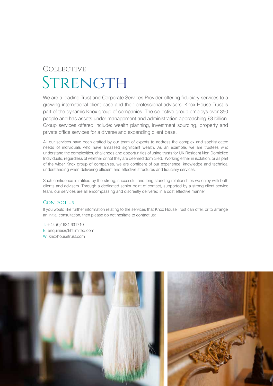# COLLECTIVE STRENGTH

We are a leading Trust and Corporate Services Provider offering fiduciary services to a growing international client base and their professional advisers. Knox House Trust is part of the dynamic Knox group of companies. The collective group employs over 350 people and has assets under management and administration approaching £3 billion. Group services offered include: wealth planning, investment sourcing, property and private office services for a diverse and expanding client base.

All our services have been crafted by our team of experts to address the complex and sophisticated needs of individuals who have amassed significant wealth. As an example, we are trustees who understand the complexities, challenges and opportunities of using trusts for UK Resident Non Domiciled Individuals, regardless of whether or not they are deemed domiciled. Working either in isolation, or as part of the wider Knox group of companies, we are confident of our experience, knowledge and technical understanding when delivering efficient and effective structures and fiduciary services.

Such confidence is ratified by the strong, successful and long standing relationships we enjoy with both clients and advisers. Through a dedicated senior point of contact, supported by a strong client service team, our services are all encompassing and discreetly delivered in a cost effective manner.

#### **CONTACT US**

If you would like further information relating to the services that Knox House Trust can offer, or to arrange an initial consultation, then please do not hesitate to contact us:

 $T: +44 (0)1624 631710$ E: enquiries@khtlimited.com W: knoxhousetrust.com